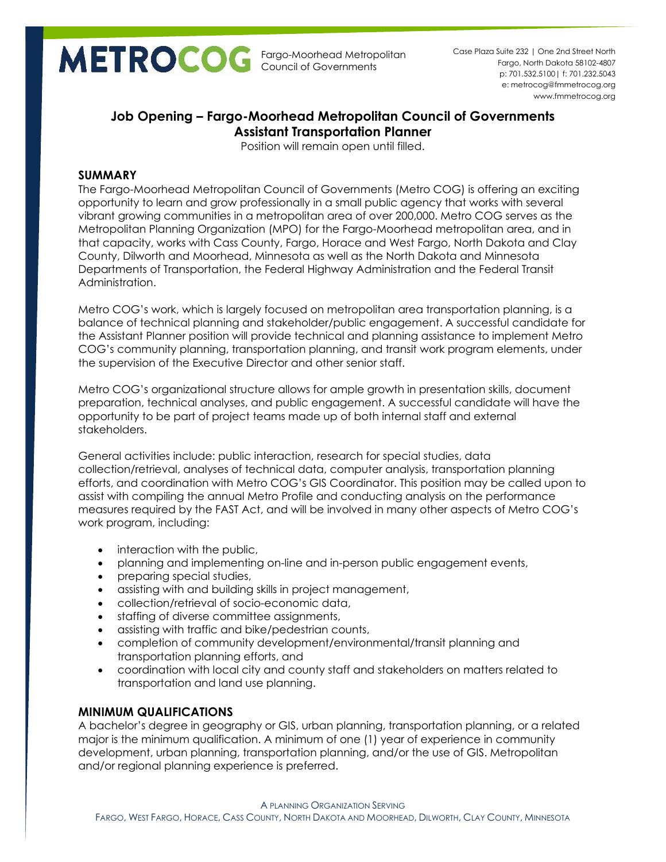Fargo-Moorhead Metropolitan Council of Governments

p: 701.532.5100| f: 701.232.5043 e: metrocog@fmmetrocog.org www.fmmetrocog.org Case Plaza Suite 232 | One 2nd Street North Fargo, North Dakota 58102-4807

# **Job Opening – Fargo-Moorhead Metropolitan Council of Governments Assistant Transportation Planner**

Position will remain open until filled.

# **SUMMARY**

The Fargo-Moorhead Metropolitan Council of Governments (Metro COG) is offering an exciting opportunity to learn and grow professionally in a small public agency that works with several vibrant growing communities in a metropolitan area of over 200,000. Metro COG serves as the Metropolitan Planning Organization (MPO) for the Fargo-Moorhead metropolitan area, and in that capacity, works with Cass County, Fargo, Horace and West Fargo, North Dakota and Clay County, Dilworth and Moorhead, Minnesota as well as the North Dakota and Minnesota Departments of Transportation, the Federal Highway Administration and the Federal Transit Administration.

Metro COG's work, which is largely focused on metropolitan area transportation planning, is a balance of technical planning and stakeholder/public engagement. A successful candidate for the Assistant Planner position will provide technical and planning assistance to implement Metro COG's community planning, transportation planning, and transit work program elements, under the supervision of the Executive Director and other senior staff.

Metro COG's organizational structure allows for ample growth in presentation skills, document preparation, technical analyses, and public engagement. A successful candidate will have the opportunity to be part of project teams made up of both internal staff and external stakeholders.

General activities include: public interaction, research for special studies, data collection/retrieval, analyses of technical data, computer analysis, transportation planning efforts, and coordination with Metro COG's GIS Coordinator. This position may be called upon to assist with compiling the annual Metro Profile and conducting analysis on the performance measures required by the FAST Act, and will be involved in many other aspects of Metro COG's work program, including:

- interaction with the public,
- planning and implementing on-line and in-person public engagement events,
- preparing special studies,
- assisting with and building skills in project management,
- collection/retrieval of socio-economic data,
- staffing of diverse committee assignments,
- assisting with traffic and bike/pedestrian counts,
- completion of community development/environmental/transit planning and transportation planning efforts, and
- coordination with local city and county staff and stakeholders on matters related to transportation and land use planning.

# **MINIMUM QUALIFICATIONS**

A bachelor's degree in geography or GIS, urban planning, transportation planning, or a related major is the minimum qualification. A minimum of one (1) year of experience in community development, urban planning, transportation planning, and/or the use of GIS. Metropolitan and/or regional planning experience is preferred.